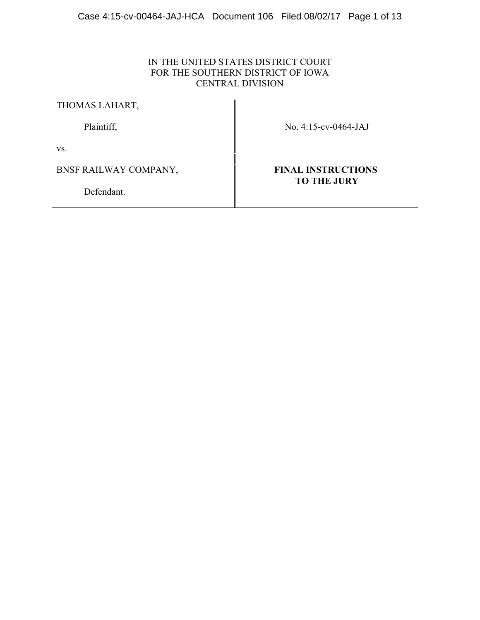# IN THE UNITED STATES DISTRICT COURT FOR THE SOUTHERN DISTRICT OF IOWA CENTRAL DIVISION

THOMAS LAHART,

Plaintiff, No. 4:15-cv-0464-JAJ

vs.

BNSF RAILWAY COMPANY, **FINAL INSTRUCTIONS** 

Defendant.

# **TO THE JURY**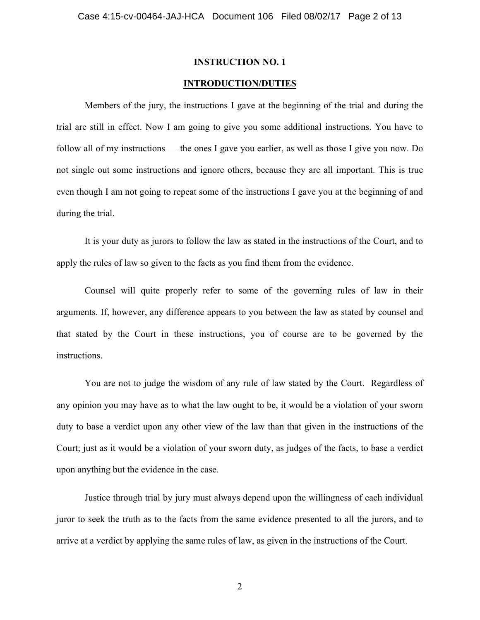#### **INTRODUCTION/DUTIES**

Members of the jury, the instructions I gave at the beginning of the trial and during the trial are still in effect. Now I am going to give you some additional instructions. You have to follow all of my instructions — the ones I gave you earlier, as well as those I give you now. Do not single out some instructions and ignore others, because they are all important. This is true even though I am not going to repeat some of the instructions I gave you at the beginning of and during the trial.

It is your duty as jurors to follow the law as stated in the instructions of the Court, and to apply the rules of law so given to the facts as you find them from the evidence.

Counsel will quite properly refer to some of the governing rules of law in their arguments. If, however, any difference appears to you between the law as stated by counsel and that stated by the Court in these instructions, you of course are to be governed by the instructions.

You are not to judge the wisdom of any rule of law stated by the Court. Regardless of any opinion you may have as to what the law ought to be, it would be a violation of your sworn duty to base a verdict upon any other view of the law than that given in the instructions of the Court; just as it would be a violation of your sworn duty, as judges of the facts, to base a verdict upon anything but the evidence in the case.

Justice through trial by jury must always depend upon the willingness of each individual juror to seek the truth as to the facts from the same evidence presented to all the jurors, and to arrive at a verdict by applying the same rules of law, as given in the instructions of the Court.

2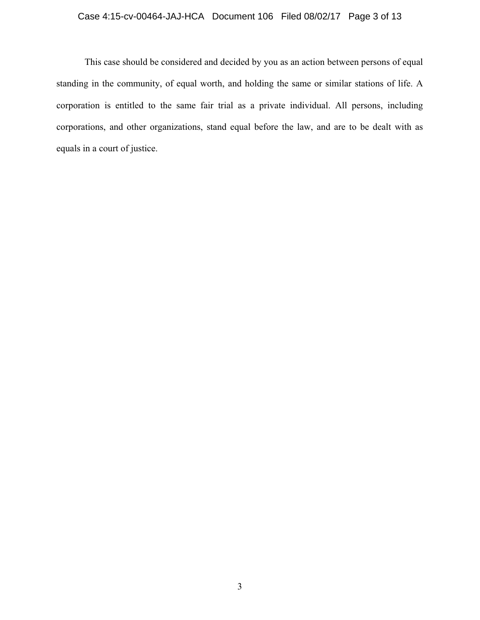## Case 4:15-cv-00464-JAJ-HCA Document 106 Filed 08/02/17 Page 3 of 13

This case should be considered and decided by you as an action between persons of equal standing in the community, of equal worth, and holding the same or similar stations of life. A corporation is entitled to the same fair trial as a private individual. All persons, including corporations, and other organizations, stand equal before the law, and are to be dealt with as equals in a court of justice.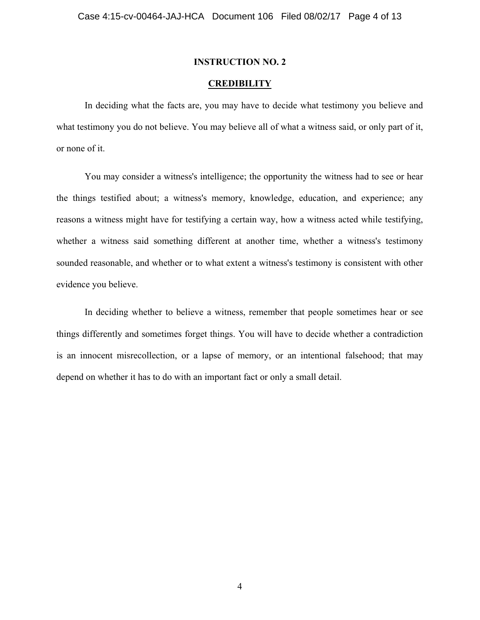#### **CREDIBILITY**

In deciding what the facts are, you may have to decide what testimony you believe and what testimony you do not believe. You may believe all of what a witness said, or only part of it, or none of it.

You may consider a witness's intelligence; the opportunity the witness had to see or hear the things testified about; a witness's memory, knowledge, education, and experience; any reasons a witness might have for testifying a certain way, how a witness acted while testifying, whether a witness said something different at another time, whether a witness's testimony sounded reasonable, and whether or to what extent a witness's testimony is consistent with other evidence you believe.

In deciding whether to believe a witness, remember that people sometimes hear or see things differently and sometimes forget things. You will have to decide whether a contradiction is an innocent misrecollection, or a lapse of memory, or an intentional falsehood; that may depend on whether it has to do with an important fact or only a small detail.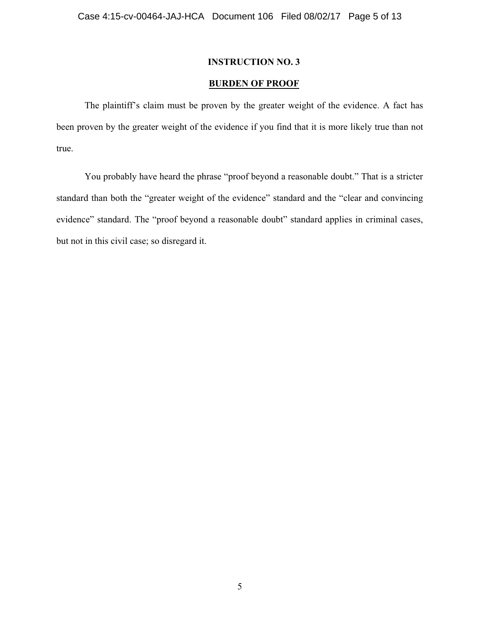## **BURDEN OF PROOF**

The plaintiff's claim must be proven by the greater weight of the evidence. A fact has been proven by the greater weight of the evidence if you find that it is more likely true than not true.

You probably have heard the phrase "proof beyond a reasonable doubt." That is a stricter standard than both the "greater weight of the evidence" standard and the "clear and convincing evidence" standard. The "proof beyond a reasonable doubt" standard applies in criminal cases, but not in this civil case; so disregard it.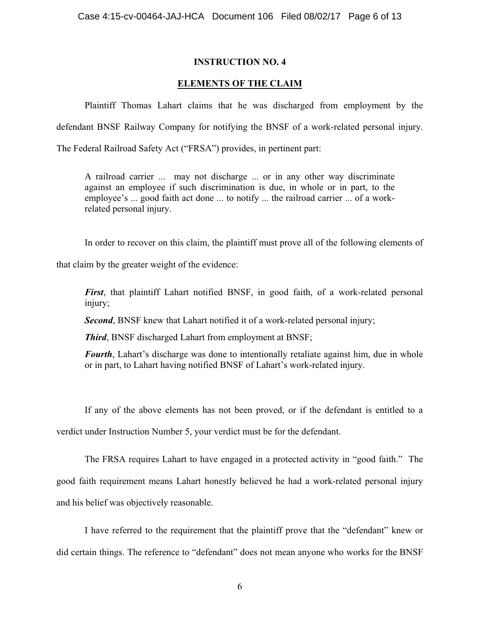## **ELEMENTS OF THE CLAIM**

Plaintiff Thomas Lahart claims that he was discharged from employment by the defendant BNSF Railway Company for notifying the BNSF of a work-related personal injury.

The Federal Railroad Safety Act ("FRSA") provides, in pertinent part:

A railroad carrier ... may not discharge ... or in any other way discriminate against an employee if such discrimination is due, in whole or in part, to the employee's ... good faith act done ... to notify ... the railroad carrier ... of a workrelated personal injury.

In order to recover on this claim, the plaintiff must prove all of the following elements of

that claim by the greater weight of the evidence:

*First*, that plaintiff Lahart notified BNSF, in good faith, of a work-related personal injury;

*Second*, BNSF knew that Lahart notified it of a work-related personal injury;

*Third*, BNSF discharged Lahart from employment at BNSF;

*Fourth*, Lahart's discharge was done to intentionally retaliate against him, due in whole or in part, to Lahart having notified BNSF of Lahart's work-related injury.

If any of the above elements has not been proved, or if the defendant is entitled to a verdict under Instruction Number 5, your verdict must be for the defendant.

The FRSA requires Lahart to have engaged in a protected activity in "good faith." The good faith requirement means Lahart honestly believed he had a work-related personal injury and his belief was objectively reasonable.

I have referred to the requirement that the plaintiff prove that the "defendant" knew or did certain things. The reference to "defendant" does not mean anyone who works for the BNSF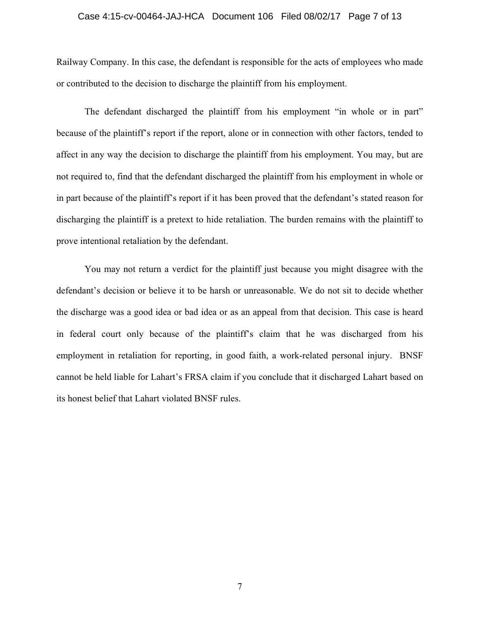#### Case 4:15-cv-00464-JAJ-HCA Document 106 Filed 08/02/17 Page 7 of 13

Railway Company. In this case, the defendant is responsible for the acts of employees who made or contributed to the decision to discharge the plaintiff from his employment.

The defendant discharged the plaintiff from his employment "in whole or in part" because of the plaintiff's report if the report, alone or in connection with other factors, tended to affect in any way the decision to discharge the plaintiff from his employment. You may, but are not required to, find that the defendant discharged the plaintiff from his employment in whole or in part because of the plaintiff's report if it has been proved that the defendant's stated reason for discharging the plaintiff is a pretext to hide retaliation. The burden remains with the plaintiff to prove intentional retaliation by the defendant.

You may not return a verdict for the plaintiff just because you might disagree with the defendant's decision or believe it to be harsh or unreasonable. We do not sit to decide whether the discharge was a good idea or bad idea or as an appeal from that decision. This case is heard in federal court only because of the plaintiff's claim that he was discharged from his employment in retaliation for reporting, in good faith, a work-related personal injury. BNSF cannot be held liable for Lahart's FRSA claim if you conclude that it discharged Lahart based on its honest belief that Lahart violated BNSF rules.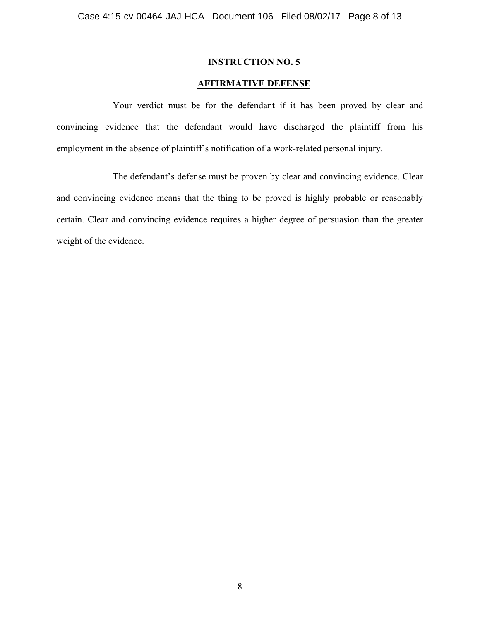## **AFFIRMATIVE DEFENSE**

Your verdict must be for the defendant if it has been proved by clear and convincing evidence that the defendant would have discharged the plaintiff from his employment in the absence of plaintiff's notification of a work-related personal injury.

The defendant's defense must be proven by clear and convincing evidence. Clear and convincing evidence means that the thing to be proved is highly probable or reasonably certain. Clear and convincing evidence requires a higher degree of persuasion than the greater weight of the evidence.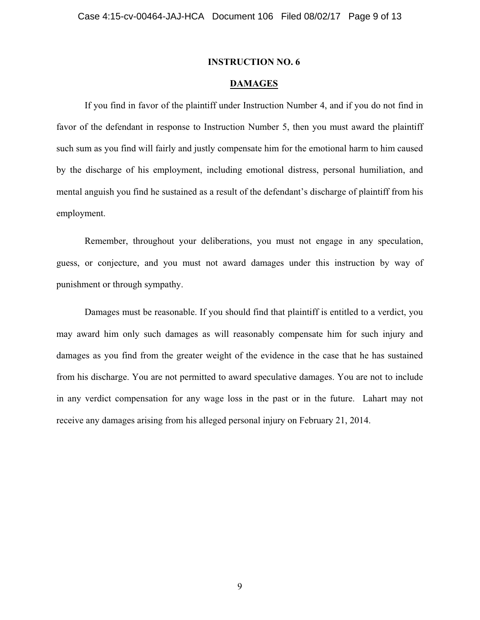## **DAMAGES**

If you find in favor of the plaintiff under Instruction Number 4, and if you do not find in favor of the defendant in response to Instruction Number 5, then you must award the plaintiff such sum as you find will fairly and justly compensate him for the emotional harm to him caused by the discharge of his employment, including emotional distress, personal humiliation, and mental anguish you find he sustained as a result of the defendant's discharge of plaintiff from his employment.

Remember, throughout your deliberations, you must not engage in any speculation, guess, or conjecture, and you must not award damages under this instruction by way of punishment or through sympathy.

Damages must be reasonable. If you should find that plaintiff is entitled to a verdict, you may award him only such damages as will reasonably compensate him for such injury and damages as you find from the greater weight of the evidence in the case that he has sustained from his discharge. You are not permitted to award speculative damages. You are not to include in any verdict compensation for any wage loss in the past or in the future. Lahart may not receive any damages arising from his alleged personal injury on February 21, 2014.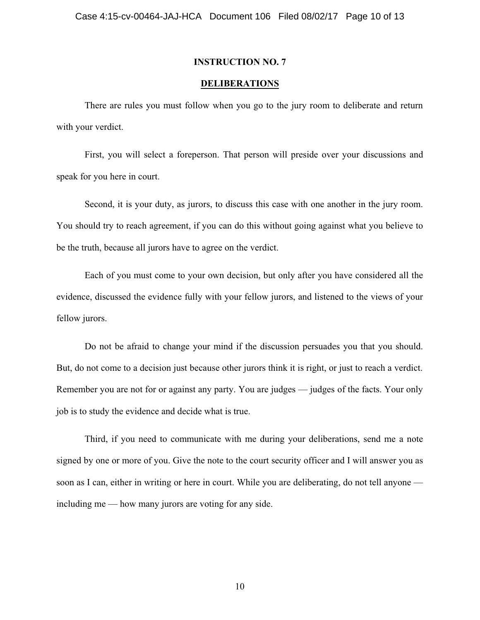#### **DELIBERATIONS**

There are rules you must follow when you go to the jury room to deliberate and return with your verdict.

First, you will select a foreperson. That person will preside over your discussions and speak for you here in court.

Second, it is your duty, as jurors, to discuss this case with one another in the jury room. You should try to reach agreement, if you can do this without going against what you believe to be the truth, because all jurors have to agree on the verdict.

Each of you must come to your own decision, but only after you have considered all the evidence, discussed the evidence fully with your fellow jurors, and listened to the views of your fellow jurors.

Do not be afraid to change your mind if the discussion persuades you that you should. But, do not come to a decision just because other jurors think it is right, or just to reach a verdict. Remember you are not for or against any party. You are judges — judges of the facts. Your only job is to study the evidence and decide what is true.

Third, if you need to communicate with me during your deliberations, send me a note signed by one or more of you. Give the note to the court security officer and I will answer you as soon as I can, either in writing or here in court. While you are deliberating, do not tell anyone including me — how many jurors are voting for any side.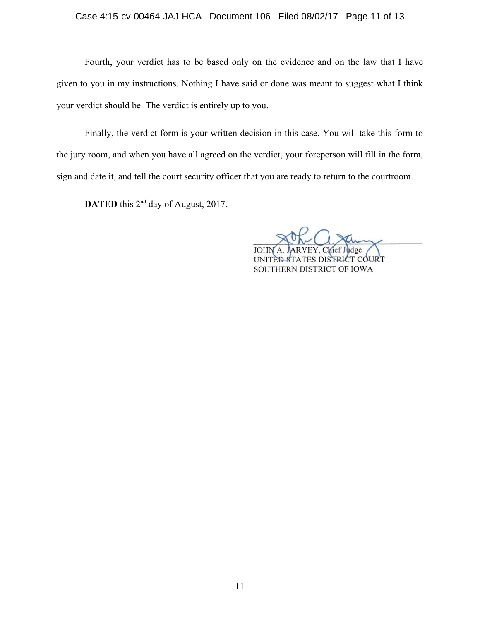## Case 4:15-cv-00464-JAJ-HCA Document 106 Filed 08/02/17 Page 11 of 13

Fourth, your verdict has to be based only on the evidence and on the law that I have given to you in my instructions. Nothing I have said or done was meant to suggest what I think your verdict should be. The verdict is entirely up to you.

Finally, the verdict form is your written decision in this case. You will take this form to the jury room, and when you have all agreed on the verdict, your foreperson will fill in the form, sign and date it, and tell the court security officer that you are ready to return to the courtroom.

**DATED** this 2<sup>nd</sup> day of August, 2017.

STRICT COURT SOUTHERN DISTRICT OF IOWA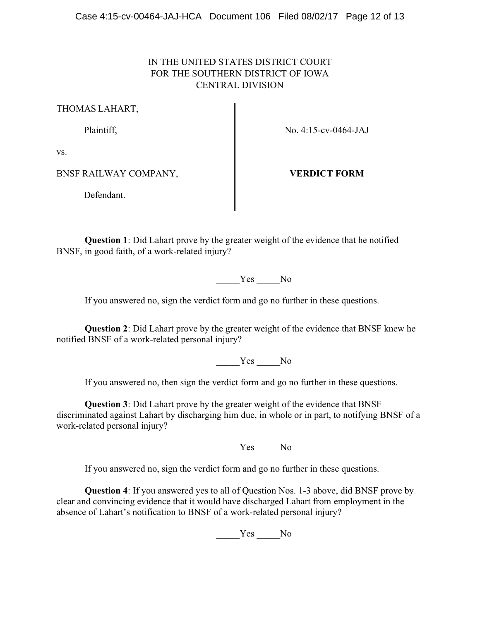# IN THE UNITED STATES DISTRICT COURT FOR THE SOUTHERN DISTRICT OF IOWA CENTRAL DIVISION

THOMAS LAHART,

Plaintiff, No. 4:15-cv-0464-JAJ

vs.

BNSF RAILWAY COMPANY, **VERDICT FORM**

Defendant.

**Question 1**: Did Lahart prove by the greater weight of the evidence that he notified BNSF, in good faith, of a work-related injury?

Yes No

If you answered no, sign the verdict form and go no further in these questions.

**Question 2**: Did Lahart prove by the greater weight of the evidence that BNSF knew he notified BNSF of a work-related personal injury?

Yes No

If you answered no, then sign the verdict form and go no further in these questions.

**Question 3**: Did Lahart prove by the greater weight of the evidence that BNSF discriminated against Lahart by discharging him due, in whole or in part, to notifying BNSF of a work-related personal injury?

\_\_\_\_\_Yes \_\_\_\_\_No

If you answered no, sign the verdict form and go no further in these questions.

**Question 4**: If you answered yes to all of Question Nos. 1-3 above, did BNSF prove by clear and convincing evidence that it would have discharged Lahart from employment in the absence of Lahart's notification to BNSF of a work-related personal injury?

Yes No